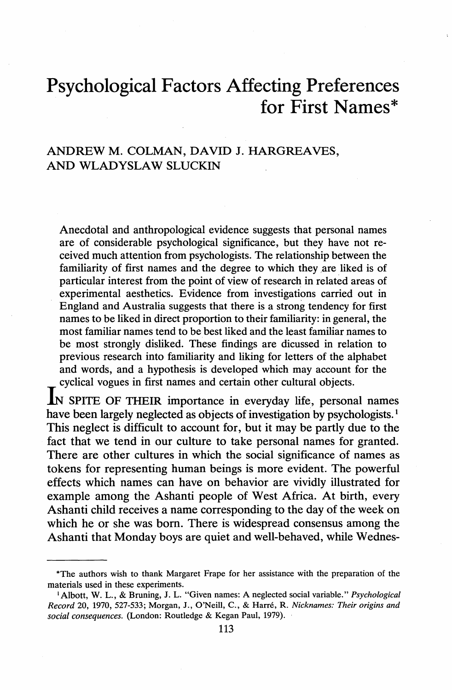# Psychological Factors Affecting Preferences for First Names\*

# ANDREW M. COLMAN, DAVID J. HARGREA YES, AND WLADYSLA W SLUCKIN

Anecdotal and anthropological evidence suggests that personal names are of considerable psychological significance, but they have not received much attention from psychologists. The relationship between the familiarity of first names and the degree to which they are liked is of particular interest from the point of view of research in related areas of experimental aesthetics. Evidence from investigations carried out in England and Australia suggests that there is a strong tendency for first names to be liked in direct proportion to their familiarity: in general, the most familiar names tend to be best liked and the least familiar names to be most strongly disliked. These findings are dicussed in relation to previous research into familiarity and liking for letters of the alphabet and words, and a hypothesis is developed which may account for the cyclical vogues in first names and certain other cultural objects.

IN SPITE OF THEIR importance in everyday life, personal names have been largely neglected as objects of investigation by psychologists.<sup>1</sup> This neglect is difficult to account for, but it may be partly due to the fact that we tend in our culture to take personal names for granted. There are other cultures in which the social significance of names as tokens for representing human beings is more evident. The powerful effects which names can have on behavior are vividly illustrated for example among the Ashanti people of West Africa. At birth, every Ashanti child receives a name corresponding to the day of the week on which he or she was born. There is widespread consensus among the Ashanti that Monday boys are quiet and well-behaved, while Wednes-

<sup>\*</sup>The authors wish to thank Margaret Frape for her assistance with the preparation of the materials used in these experiments.

<sup>1</sup> Albott, W. L., & Bruning, J. L. "Given names: A neglected social variable." *Psychological Record* 20, 1970, 527-533; Morgan, J., O'Neill, C., & Harre, R. *Nicknames: Their origins and social consequences.* (London: Routledge & Kegan Paul, 1979).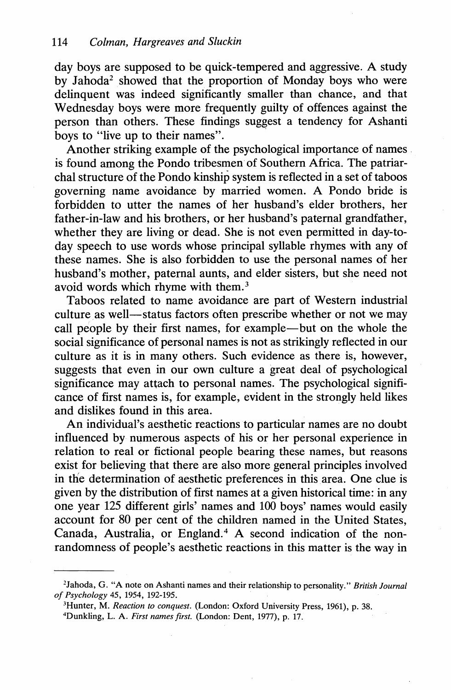day boys are supposed to be quick-tempered and aggressive. A study by Jahoda<sup>2</sup> showed that the proportion of Monday boys who were delinquent was indeed significantly smaller than chance, and that Wednesday boys were more frequently guilty of offences against the person than others. These findings suggest a tendency for Ashanti boys to "live up to their names".

Another striking example of the psychological importance of names. is found among the Pondo tribesmen of Southern Africa. The patriarchal structure of the Pondo kinship system is reflected in a set of taboos governing name avoidance by married women. A Pondo bride is forbidden to utter the names of her husband's elder brothers, her father-in-law and his brothers, or her husband's paternal grandfather, whether they are living or dead. She is not even permitted in day-today speech to use words whose principal syllable rhymes with any of these names. She is also forbidden to use the personal names of her husband's mother, paternal aunts, and elder sisters, but she need not avoid words which rhyme with them.<sup>3</sup>

Taboos related to name avoidance are part of Western industrial culture as well—status factors often prescribe whether or not we may call people by their first names, for example-but on the whole the social significance of personal names is not as strikingly reflected in our culture as it is in many others. Such evidence as there is, however, suggests that even in our own culture a great deal of psychological significance may attach to personal names. The psychological significance of first names is, for example, evident in the strongly held likes and dislikes found in this area.

An individual's aesthetic reactions to particular names are no doubt influenced by numerous aspects of his or her personal experience in relation to real or fictional people bearing these names, but reasons exist for believing that there are also more general principles involved in the determination of aesthetic preferences in this area. One clue is given by the distribution of first names at a given historical time: in any one year 125 different girls' names and 100 boys' names would easily account for 80 per cent of the children named in the United States, Canada, Australia, or England.<sup>4</sup> A second indication of the nonrandomness of people's aesthetic reactions in this matter is the way in

<sup>2</sup>Jahoda, G. "A note on Ashanti names and their relationship to personality." *British Journal of Psychology* 45, 1954, 192-195.

<sup>3</sup>Hunter, M. *Reaction to conquest.* (London: Oxford University Press, 1961), p. 38.

<sup>4</sup>Dunkling, L. A. *First names first.* (London: Dent, 1977), p. 17.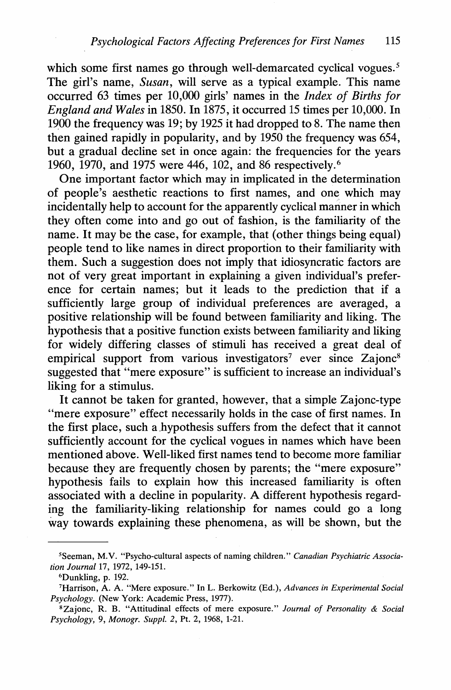which some first names go through well-demarcated cyclical vogues.<sup>5</sup> The girl's name, *Susan,* will serve as a typical example. This name occurred 63 times per 10,000 girls' names in the *Index of Births for England and Wales* in 1850. In 1875, it occurred 15 times per 10,000. In 1900 the frequency was 19; by 1925 it had dropped to 8. The name then then gained rapidly in popularity, and by 1950 the frequency was 654, but a gradual decline set in once again: the frequencies for the years 1960, 1970, and 1975 were 446, 102, and 86 respectively.6

One important factor which may in implicated in the determination of people's aesthetic reactions to first names, and one which may incidentally help to account for the apparently cyclical manner in which they often come into and go out of fashion, is the familiarity of the name. It may be the case, for example, that (other things being equal) people tend to like names in direct proportion to their familiarity with them. Such a suggestion does not imply that idiosyncratic factors are not of very great important in explaining a given individual's preference for certain names; but it leads to the prediction that if a sufficiently large group of individual preferences are averaged, a positive relationship will be found between familiarity and liking. The hypothesis that a positive function exists between familiarity and liking for widely differing classes of stimuli has received a great deal of empirical support from various investigators<sup>7</sup> ever since Zajonc<sup>8</sup> suggested that "mere exposure" is sufficient to increase an individual's liking for a stimulus.

It cannot be taken for granted, however, that a simple Zajonc-type "mere exposure" effect necessarily holds in the case of first names. In the first place, such a hypothesis suffers from the defect that it cannot sufficiently account for the cyclical vogues in names which have been mentioned above. Well-liked first names tend to become more familiar because they are frequently chosen by parents; the "mere exposure" hypothesis fails to explain how this increased familiarity is often associated with a decline in popularity. A different hypothesis regarding the familiarity-liking relationship for names could go a long way towards explaining these phenomena, as will be shown, but the

SSeeman, M.V. "Psycho-cultural aspects of naming children." *Canadian Psychiatric Association Journal* 17, 1972, 149-151.

<sup>6</sup>Dunkling, p. 192.

<sup>7</sup>Harrison, A. A. "Mere exposure." In L. Berkowitz (Ed.), *Advances in Experimental Social Psychology.* (New York: Academic Press, 1977).

<sup>8</sup>Zajonc, R. B. "Attitudinal effects of mere exposure." *Journal of Personality* & *Social Psychology,* 9, *Monogr. Suppl.* 2, Pt. 2, 1968, 1-21.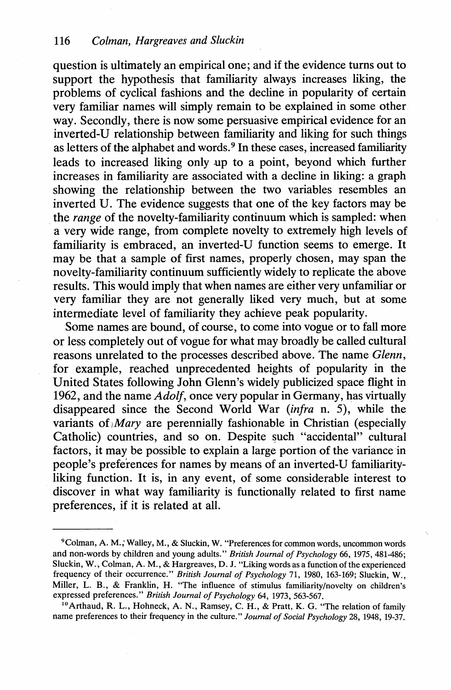question is ultimately an empirical one; and if the evidence turns out to support the hypothesis that familiarity always increases liking, the problems of cyclical fashions and the decline in popularity of certain very familiar names will simply remain to be explained in some other way. Secondly, there is now some persuasive empirical evidence for an inverted-U relationship between familiarity and liking for such things as letters of the alphabet and words.<sup>9</sup> In these cases, increased familiarity leads to increased liking only up to a point, beyond which further increases in familiarity are associated with a decline in liking: a graph showing the relationship between the two variables resembles an inverted U. The evidence suggests that one of the key factors may be the *range* of the novelty-familiarity continuum which is sampled: when a very wide range, from complete novelty to extremely high levels of familiarity is embraced, an inverted-U function seems to emerge. It may be that a sample of first names, properly chosen, may span the novelty-familiarity continuum sufficiently widely to replicate the above results. This would imply that when names are either very unfamiliar or very familiar they are not generally liked very much, but at some intermediate level of familiarity they achieve peak popularity.

Some names are bound, of course, to come into vogue or to fall more or less completely out of vogue for what may broadly be called cultural reasons unrelated to the processes described above. The name *Glenn,* for example, reached unprecedented heights of popularity in the United States following John Glenn's widely publicized space flight in 1962, and the name *Adolf*, once very popular in Germany, has virtually disappeared since the Second World War *(infra* n. 5), while the variants of *Mary* are perennially fashionable in Christian (especially Catholic) countries, and so on. Despite such "accidental" cultural factors, it may be possible to explain a large portion of the variance 'in people's preferences for names by means of an inverted-U familiarityliking function. It is, in any event, of some considerable interest to discover in what way familiarity is functionally related to first name preferences, if it is related at all.

<sup>9</sup>Colman, A. M.; Walley, M., & Sluckin, W. "Preferences for common words, uncommon words and non-words by children and young adults." *British Journal of Psychology* 66, 1975, 481-486; Sluckin, W., Colman, A. M., & Hargreaves, D. J. "Liking words as a function of the experienced frequency of their occurrence." *British Journal of Psychology* 71, 1980, 163-169; Sluckin, W., Miller, L. B., & Franklin, H. "The influence of stimulus familiarity/novelty on children's expressed preferences." *British Journal of Psychology* 64, 1973, 563-567.

<sup>&</sup>lt;sup>10</sup> Arthaud, R. L., Hohneck, A. N., Ramsey, C. H., & Pratt, K. G. "The relation of family name preferences to their frequency in the culture." *Journal of Social Psychology* 28, 1948, 19-37.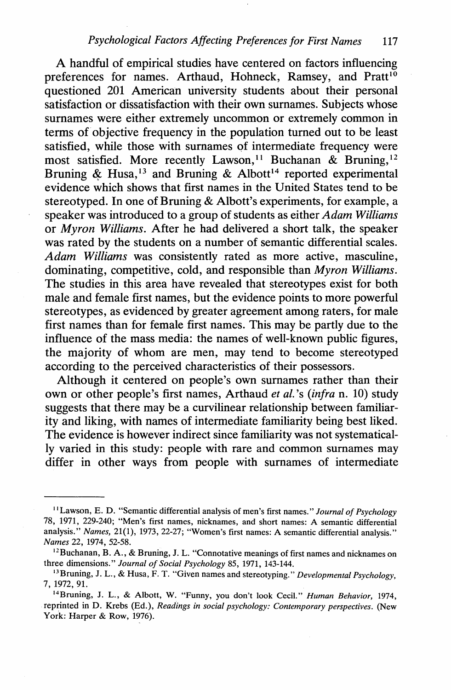A handful of empirical studies have centered on factors influencing preferences for names. Arthaud, Hohneck, Ramsey, and Pratt<sup>10</sup> questioned 201 American university students about their personal satisfaction or dissatisfaction with their own surnames. Subjects whose surnames were either extremely uncommon or extremely common in terms of objective frequency in the population turned out to be least satisfied, while those with surnames of intermediate frequency were most satisfied. More recently Lawson,<sup>11</sup> Buchanan & Bruning,<sup>12</sup> Bruning & Husa,<sup>13</sup> and Bruning & Albott<sup>14</sup> reported experimental evidence which shows that first names in the United States tend to be stereotyped. In one of Bruning & Albott's experiments, for example, a speaker was introduced to a group of students as either *Adam Williams* or *Myron Williams.* After he had delivered a short talk, the speaker was rated by the students on a number of semantic differential scales. *Adam Williams* was consistently rated as more active, masculine, dominating, competitive, cold, and responsible than *Myron Williams.* The studies in this area have revealed that stereotypes exist for both male and female first names, but the evidence points to more powerful stereotypes, as evidenced by greater agreement among raters, for male first names than for female first names. This may be partly due to the influence of the mass media: the names of well-known public figures, the majority of whom are men, may tend to become stereotyped according to the perceived characteristics of their possessors.

Although it centered on people's own surnames rather than their own or other people's first names, Arthaud *et al.'s (infra* n. 10) study suggests that there may be a curvilinear relationship between familiarity and liking, with names of intermediate familiarity being best liked. The evidence is however indirect since familiarity was not systematically varied in this study: people with rare and common surnames may differ in other ways from people with surnames of intermediate

II Lawson, E. D. "Semantic differential analysis of men's first names." *Journal of Psychology* 78, 1971, 229-240; "Men's first names, nicknames, and short names: A semantic differential analysis." *Names,* 21(1), 1973, 22-27; "Women's first names: A semantic differential analysis." *Names* 22, 1974, 52-58.

<sup>&</sup>lt;sup>12</sup> Buchanan, B. A., & Bruning, J. L. "Connotative meanings of first names and nicknames on three dimensions." *Journal of Social Psychology* 85, 1971, 143-144.

<sup>&</sup>lt;sup>13</sup> Bruning, J. L., & Husa, F. T. "Given names and stereotyping." *Developmental Psychology*, 7, 1972, 91.

<sup>14</sup>Bruning, J. L., & Albott, W. "Funny, you don't look Cecil." *Human Behavior, 1974,* reprinted in D. Krebs (Ed.), *Readings in social psychology: Contemporary perspectives.* (New York: Harper & Row, 1976).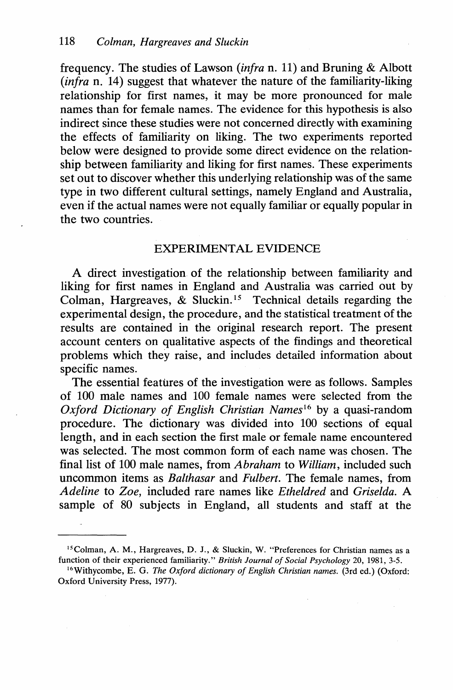frequency. The studies of Lawson *(infra* n. 11) and Bruning & Albott *(infra* n. 14) suggest that whatever the nature of the familiarity-liking relationship for first names, it may be more pronounced for male names than for female names. The evidence for this hypothesis is also indirect since these studies were not concerned directly with examining the effects of familiarity on liking. The two experiments reported below were designed to provide some direct evidence on the relationship between familiarity and liking for first names. These experiments set out to discover whether this underlying relationship was of the same type in two different cultural settings, namely England and Australia, even if the actual names were not equally familiar or equally popular in the two countries.

#### EXPERIMENTAL EVIDENCE

A direct investigation, of the relationship between familiarity and liking for first names in England and Australia was carried out by Colman, Hargreaves,  $\&$  Sluckin.<sup>15</sup> Technical details regarding the experimental design, the procedure, and the statistical treatment of the results are contained in the original research report. The present account centers on qualitative aspects of the findings and theoretical problems which they raise, and includes detailed information about specific names.

The essential features of the investigation were as follows. Samples of 100 male names and 100 female names were selected from the *Oxford Dictionary of English Christian Names*<sup>16</sup> by a quasi-random procedure. The dictionary was divided into 100 sections of equal length, and in each section the first male or female name encountered was selected. The most common form of each name was chosen. The final list of 100 male names, from *Abraham* to *William,* included such uncommon items as *Balthasar* and *Fulbert.* The female names, from *Adeline* to *Zoe,* included rare names like *Etheldred* and *Griselda.* A sample of 80 subjects in England, all students and staff at the

<sup>&</sup>lt;sup>15</sup>Colman, A. M., Hargreaves, D. J., & Sluckin, W. "Preferences for Christian names as a function of their experienced familiarity." *British Journal of Social Psychology* 20, 1981, 3-5.

<sup>16</sup>Withycombe, E. G. *The Oxford dictionary of English Christian names.* (3rd ed.) (Oxford: Oxford University Press, 1977).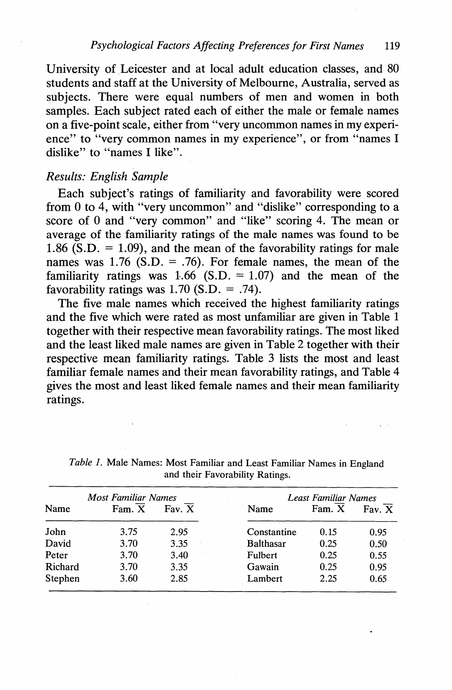University of Leicester and at local adult education classes, and 80 students and staff at the University of Melbourne, Australia, served as subjects. There were equal numbers of men and women in both samples. Each subject rated each of either the male or female names on a five-point scale, either from "very uncommon names in my experience" to "very common names in my experience", or from "names I dislike" to "names I like".

### *Results: English Sample*

Each subject's ratings of familiarity and favorability were scored from 0 to 4, with "very uncommon" and "dislike" corresponding to a score of 0 and "very common" and "like" scoring 4. The mean or average of the familiarity ratings of the male names was found to be 1.86 (S.D.  $= 1.09$ ), and the mean of the favorability ratings for male names was  $1.76$  (S.D. = .76). For female names, the mean of the familiarity ratings was 1.66 (S.D.  $= 1.07$ ) and the mean of the favorability ratings was  $1.70$  (S.D. = .74).

The five-male names which received the highest familiarity ratings and the five which were rated as most unfamiliar are given in Table 1 together with their respective mean favorability ratings. The most liked and the least liked male names are given in Table 2 together with their respective mean familiarity ratings. Table 3 lists the most and least familiar female names and their mean favorability ratings, and Table 4 gives the most and least liked female names and their mean familiarity ratings.

| <b>Most Familiar Names</b> |        |          | <b>Least Familiar Names</b> |        |                     |  |
|----------------------------|--------|----------|-----------------------------|--------|---------------------|--|
| Name                       | Fam. X | Fav. $X$ | Name                        | Fam. X | Fav. $\overline{X}$ |  |
| John                       | 3.75   | 2.95     | Constantine                 | 0.15   | 0.95                |  |
| David                      | 3.70   | 3.35     | <b>Balthasar</b>            | 0.25   | 0.50                |  |
| Peter                      | 3.70   | 3.40     | Fulbert                     | 0.25   | 0.55                |  |
| Richard                    | 3.70   | 3.35     | Gawain                      | 0.25   | 0.95                |  |
| Stephen                    | 3.60   | 2.85     | Lambert                     | 2.25   | 0.65                |  |

*Table* 1. Male Names: Most Familiar and Least Familiar Names in England and their Favorability Ratings.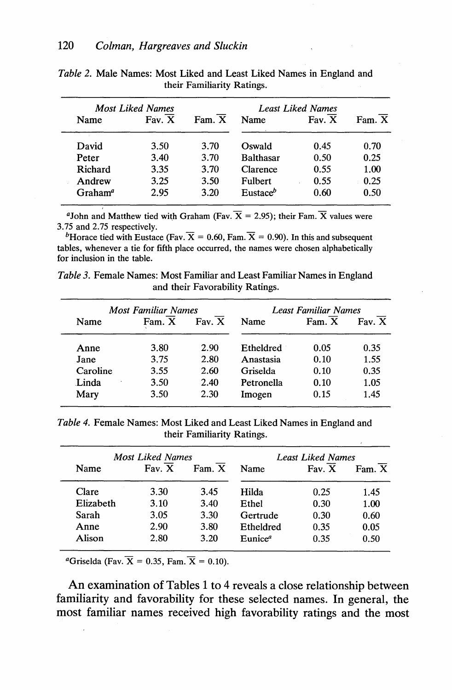| <b>Most Liked Names</b> |        |        |                      | <b>Least Liked Names</b> |                     |  |
|-------------------------|--------|--------|----------------------|--------------------------|---------------------|--|
| Name                    | Fav. X | Fam. X | Name                 | Fav. $X$                 | Fam. $\overline{X}$ |  |
| David                   | 3.50   | 3.70   | Oswald               | 0.45                     | 0.70                |  |
| Peter                   | 3.40   | 3.70   | <b>Balthasar</b>     | 0.50                     | 0.25                |  |
| Richard                 | 3.35   | 3.70   | Clarence             | 0.55                     | 1.00                |  |
| Andrew                  | 3.25   | 3.50   | Fulbert              | 0.55                     | 0.25                |  |
| $G$ raham <sup>a</sup>  | 2.95   | 3.20   | Eustace <sup>b</sup> | 0.60                     | 0.50                |  |

*Table* 2. Male Names: Most Liked and Least Liked Names in England and their Familiarity Ratings.

<sup>a</sup>John and Matthew tied with Graham (Fav.  $\overline{X} = 2.95$ ); their Fam.  $\overline{X}$  values were 3.75 and 2.75 respectively.

<sup>b</sup>Horace tied with Eustace (Fav.  $\overline{X} = 0.60$ , Fam.  $\overline{X} = 0.90$ ). In this and subsequent tables, whenever a tie for fifth place occurred, the names were chosen alphabetically for inclusion in the table.

*Table* 3. Female Names: Most Familiar and Least Familiar Names in England and their Favorability Ratings.

|          | <b>Most Familiar Names</b> |        |            | <b>Least Familiar Names</b> |        |  |
|----------|----------------------------|--------|------------|-----------------------------|--------|--|
| Name     | Fam. X                     | Fav. X | Name       | Fam. X                      | Fav. X |  |
| Anne     | 3.80                       | 2.90   | Etheldred  | 0.05                        | 0.35   |  |
| Jane     | 3.75                       | 2.80   | Anastasia  | 0.10                        | 1.55   |  |
| Caroline | 3.55                       | 2.60   | Griselda   | 0.10                        | 0.35   |  |
| Linda    | 3.50                       | 2.40   | Petronella | 0.10                        | 1.05   |  |
| Mary     | 3.50                       | 2.30   | Imogen     | 0.15                        | 1.45   |  |

*Table* 4. Female Names: Most Liked and Least Liked Names in England and their Familiarity Ratings.

|           | <b>Most Liked Names</b>           |        |                                  | <b>Least Liked Names</b> |        |  |
|-----------|-----------------------------------|--------|----------------------------------|--------------------------|--------|--|
| Name      | $\overline{Fav}$ . $\overline{X}$ | Fam. X | Name                             | Fav. $\overline{X}$      | Fam. X |  |
| Clare     | 3.30                              | 3.45   | Hilda                            | 0.25                     | 1.45   |  |
| Elizabeth | 3.10                              | 3.40   | Ethel                            | 0.30                     | 1.00   |  |
| Sarah     | 3.05                              | 3.30   | Gertrude                         | 0.30                     | 0.60   |  |
| Anne      | 2.90                              | 3.80   | Etheldred                        | 0.35                     | 0.05   |  |
| Alison    | 2.80                              | 3.20   | Eunice <sup><math>a</math></sup> | 0.35                     | 0.50   |  |

<sup>*a*</sup>Griselda (Fav.  $\overline{X} = 0.35$ , Fam.  $\overline{X} = 0.10$ ).

An examination of Tables 1 to 4 reveals a close relationship between familiarity and favorability for these selected names. In general, the most familiar names received high favorability ratings and the most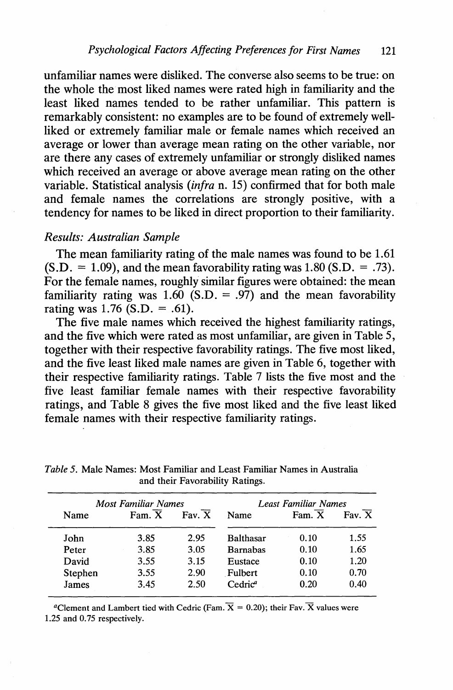unfamiliar names were disliked. The converse also seems to be true: on the whole the most liked names were rated high in familiarity and the least liked names tended to be rather unfamiliar. This pattern is remarkably consistent: no examples are to be found of extremely wellliked or extremely familiar male or female names which received an average or lower than average mean rating on the other variable, nor are there any cases of extremely unfamiliar or strongly disliked names which received an average or above average mean rating on the other variable. Statistical analysis *(infra* n. 15) confirmed that for both male and female names the correlations are strongly positive, with a tendency for names to be liked in direct proportion to their familiarity.

## *Results: Australian Sample*

The mean familiarity rating of the male names was found to be 1.61  $(S.D. = 1.09)$ , and the mean favorability rating was 1.80  $(S.D. = .73)$ . For the female names, roughly similar figures were obtained: the mean familiarity rating was  $1.60$  (S.D. = .97) and the mean favorability rating was 1.76 (S.D. = .61).

The five male names which received the highest familiarity ratings, and the five which were rated as most unfamiliar, are given in Table 5, together with their respective favorability ratings. The five most liked, and the five least liked male names are given in Table 6, together with their respective familiarity ratings. Table 7 lists the five most and the five least familiar female names with their respective favorability ratings, and Table 8 gives the five most liked and the five least liked female names with their respective familiarity ratings.

| <b>Most Familiar Names</b> |        |        | <b>Least Familiar Names</b> |        |                     |
|----------------------------|--------|--------|-----------------------------|--------|---------------------|
| Name                       | Fam. X | Fav. X | Name                        | Fam. X | Fav. $\overline{X}$ |
| John                       | 3.85   | 2.95   | <b>Balthasar</b>            | 0.10   | 1.55                |
| Peter                      | 3.85   | 3.05   | <b>Barnabas</b>             | 0.10   | 1.65                |
| David                      | 3.55   | 3.15   | Eustace                     | 0.10   | 1.20                |
| Stephen                    | 3.55   | 2.90   | Fulbert                     | 0.10   | 0.70                |
| James                      | 3.45   | 2.50   | Cedric <sup>a</sup>         | 0.20   | 0.40                |

*Table* 5. Male Names: Most Familiar and Least Familiar Names in Australia and their Favorability Ratings.

<sup>a</sup>Clement and Lambert tied with Cedric (Fam.  $\overline{X} = 0.20$ ); their Fav.  $\overline{X}$  values were 1.25 and 0.75 respectively.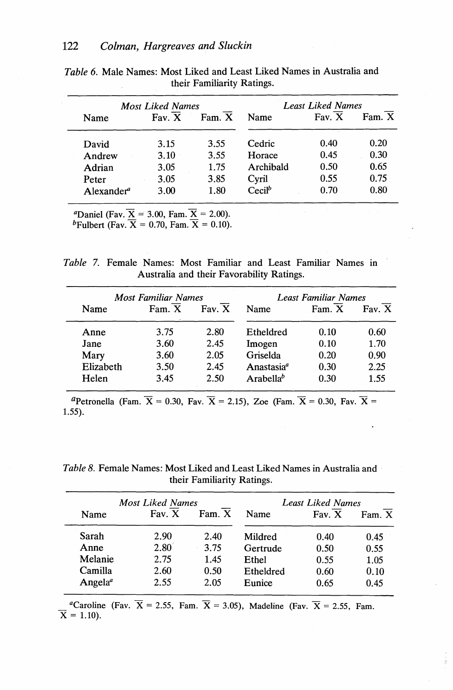| <b>Most Liked Names</b> |        |          | <b>Least Liked Names</b> |        |        |
|-------------------------|--------|----------|--------------------------|--------|--------|
| Name                    | Fav. X | Fam. $X$ | Name                     | Fav. X | Fam. X |
| David                   | 3.15   | 3.55     | Cedric                   | 0.40   | 0.20   |
| Andrew                  | 3.10   | 3.55     | Horace                   | 0.45   | 0.30   |
| Adrian                  | 3.05   | 1.75     | Archibald                | 0.50   | 0.65   |
| Peter                   | 3.05   | 3.85     | Cyril                    | 0.55   | 0.75   |
| Alexander <sup>a</sup>  | 3.00   | 1.80     | $Cecil^b$                | 0.70   | 0.80   |

*Table* 6. Male Names: Most Liked and Least Liked Names in Australia and their Familiarity Ratings.

*a*Daniel (Fav.  $X = 3.00$ , Fam.  $X = 2.00$ ) *b* Fulbert (Fav.  $X = 0.70$ , Fam.  $X = 0.10$ ).

*Table* 7. Female Names: Most Familiar and Least Familiar Names in Australia and their Favorability Ratings.

|           | <b>Most Familiar Names</b> |        |                        | <b>Least Familiar Names</b> |        |  |
|-----------|----------------------------|--------|------------------------|-----------------------------|--------|--|
| Name      | Fam. X                     | Fav. X | Name                   | Fam. X                      | Fav. X |  |
| Anne      | 3.75                       | 2.80   | Etheldred              | 0.10                        | 0.60   |  |
| Jane      | 3.60                       | 2.45   | Imogen                 | 0.10                        | 1.70   |  |
| Mary      | 3.60                       | 2.05   | Griselda               | 0.20                        | 0.90   |  |
| Elizabeth | 3.50                       | 2.45   | Anastasia <sup>a</sup> | 0.30                        | 2.25   |  |
| Helen     | 3.45                       | 2.50   | Arabella <sup>b</sup>  | 0.30                        | 1.55   |  |

<sup>a</sup>Petronella (Fam.  $\overline{X} = 0.30$ , Fav.  $\overline{X} = 2.15$ ), Zoe (Fam.  $\overline{X} = 0.30$ , Fav.  $\overline{X} = 0.30$ 1.55).

*Table* 8. Female Names: Most Liked and Least Liked Names in Australia and their Familiarity Ratings.

| <b>Most Liked Names</b> |                |        | <b>Least Liked Names</b> |        |        |
|-------------------------|----------------|--------|--------------------------|--------|--------|
| Name                    | Fav. X         | Fam. X | Name                     | Fav. X | Fam. X |
| Sarah                   | 2.90           | 2.40   | Mildred                  | 0.40   | 0.45   |
| Anne                    | $2.80^{\circ}$ | 3.75   | Gertrude                 | 0.50   | 0.55   |
| Melanie                 | 2.75           | 1.45   | Ethel                    | 0.55   | 1.05   |
| Camilla                 | 2.60           | 0.50   | Etheldred                | 0.60   | 0.10   |
| Angela <sup>a</sup>     | 2.55           | 2.05   | Eunice                   | 0.65   | 0.45   |

<sup>a</sup>Caroline (Fav.  $\overline{X} = 2.55$ , Fam.  $\overline{X} = 3.05$ ), Madeline (Fav.  $\overline{X} = 2.55$ , Fam.  $\bar{X} = 1.10$ .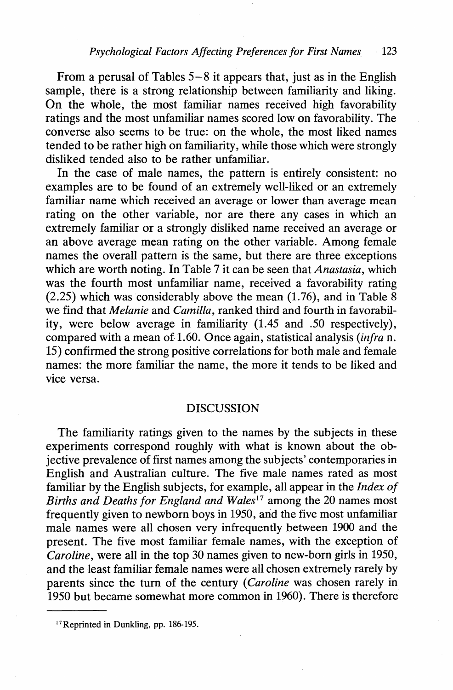From a perusal of Tables  $5-8$  it appears that, just as in the English sample, there is a strong relationship between familiarity and liking. On the whole, the most familiar names received high favorability ratings and the most unfamiliar names scored low on favorability. The converse also seems to be true: on the whole, the most liked names tended to be rather high on familiarity, while those which were strongly disliked tended also to be rather unfamiliar.

In the case of male names, the pattern is entirely consistent: no examples are to be found of an extremely well-liked or an extremely familiar name which received an average or lower than average mean rating on the other variable, nor are there any cases in which an extremely familiar or a strongly disliked name received an average or an above average mean rating on the other variable. Among female names the overall pattern is the same, but there are three exceptions which are worth noting. In Table 7 it can be seen that *Anastasia,* which was the fourth most unfamiliar name, received a favorability rating  $(2.25)$  which was considerably above the mean  $(1.76)$ , and in Table 8 we find that *Melanie* and *Camilla,* ranked third and fourth in favorability, were below average in familiarity (1.45 and .50 respectively), compared with a mean of.1.60. Once again, statistical analysis *(infra* n. 15) confirmed the strong positive correlations for both male and female names: the more familiar the name, the more it tends to be liked and vice versa.

#### DISCUSSION

The familiarity ratings given to the names by the subjects in these experiments correspond roughly with what is known about the objective prevalence of first names among the subjects' contemporaries in English and Australian culture. The five male names rated as most familiar by the English subjects, for example, all appear in the *Index of Births and Deaths for England and Wales<sup>17</sup> among the 20 names most* frequently given to newborn boys in 1950, and the five most unfamiliar male names were all chosen very infrequently between 1900 and the present. The five most familiar female names, with the exception of *Caroline,* were all in the top 30 names given to new-born girls in 1950, and the least familiar female names were all chosen extremely rarely by parents since the turn of the century *(Caroline* was chosen rarely in 1950 but became somewhat more common in 1960). There is therefore

<sup>&</sup>lt;sup>17</sup> Reprinted in Dunkling, pp. 186-195.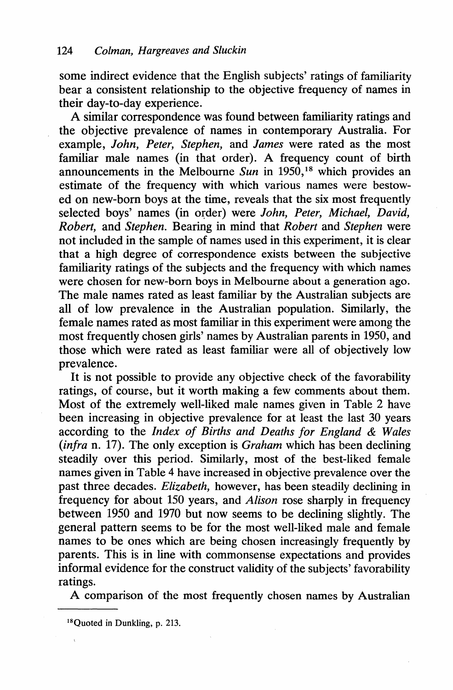some indirect evidence that the English subjects' ratings of familiarity bear a consistent relationship to the objective frequency of names in their day-to-day experience.

A similar correspondence was found between familiarity ratings and the objective prevalence of names in contemporary Australia. For example, *John, Peter, Stephen,* and *James* were rated as the most familiar male names (in that order). A frequency count of birth announcements in the Melbourne  $S$ *un* in 1950,<sup>18</sup> which provides an estimate of the frequency with which various names were bestowed on new-born boys at the time, reveals that the six most frequently selected boys' names (in order) were *John, Peter, Michael, David, Robert,* and *Stephen.* Bearing in mind that *Robert* and *Stephen* were not included in the sample of names used in this experiment, it is clear that a high degree of correspondence exists between the subjective familiarity ratings of the subjects and the frequency with which names were chosen for new-born boys in Melbourne about a generation ago. The male names rated as least familiar by the Australian subjects are all of low prevalence in the Australian population. Similarly, the female names rated as most familiar in this experiment were among the most frequently chosen girls' names by Australian parents in 1950, and those which were rated as least familiar were all of objectively low prevalence.

It is not possible to provide any objective check of the favorability ratings, of course, but it worth making a few comments about them. Most of the extremely well-liked male names given in Table 2 have been increasing in objective prevalence for at least the last 30 years according to the *Index of Births and Deaths for England* & *Wales (infra* n. 17). The only exception is *Graham* which has been declining steadily over this period. Similarly, most of the best-liked female names given in Table 4 have increased in objective prevalence over the past three decades. *Elizabeth,* however, has been steadily declining in frequency for about 150 years, and *Alison* rose sharply in frequency between 1950 and 1970 but now seems to be declining slightly. The general pattern seems to be for the most well-liked male and female names to be ones which are being chosen increasingly frequently by parents. This is in line with commonsense expectations and provides informal evidence for the construct validity of the subjects' favorability ratings.

A comparison of the most frequently chosen names by Australian

<sup>18</sup>Quoted in Dunkling, p. 213.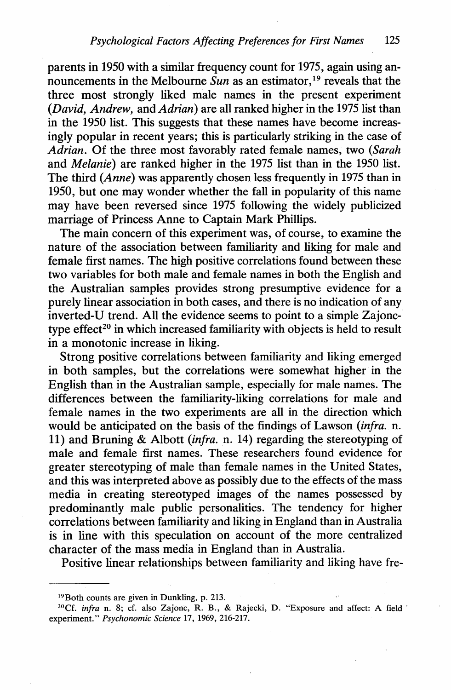parents in 1950 with a similar frequency count for 1975, again using announcements in the Melbourne *Sun* as an estimator,<sup>19</sup> reveals that the three most strongly liked male names in the present experiment *(David, Andrew,* and *Adrian)* are all ranked higher in the 1975 list than in the 1950 list. This suggests that these names have become increasingly popular in recent years; this is particularly striking in the case of *Adrian.* Of the three most favorably rated female names; two *(Sarah* and *Melanie)* are ranked higher in the 1975 list than in the 1950 list. The third *(Anne)* was apparently chosen less frequently in 1975 than in 1950, but one may wonder whether the fall in popularity of this name may have been reversed since 1975 following the widely publicized marriage of Princess Anne to Captain Mark Phillips.

The main concern of this experiment was, of course, to examine the nature of the association between familiarity and liking for male and female first names. The high positive correlations found between these two variables for both male and female names in both the English and the Australian samples provides strong presumptive evidence for a purely linear association in both cases, and there is no indication of any inverted-U trend. All the evidence seems to point to a simple Zajonctype effect<sup>20</sup> in which increased familiarity with objects is held to result in a monotonic increase in liking.

Strong positive correlations between familiarity and liking emerged in both samples, but the correlations were somewhat higher in the English than in the Australian sample, especially for male names. The differences between the familiarity-liking correlations for male and female names in the two experiments are all in the direction which would be anticipated on the basis of the findings of Lawson *(infra.* n. 11) and Bruning & Albott *(infra.* n. 14) regarding the stereotyping of male and female first names. These researchers found evidence for greater stereotyping of male than female names in the United States, and this was interpreted above as possibly due to the effects of the mass media in creating stereotyped images of the names possessed by predominantly male public personalities. The tendency for higher correlations between familiarity and liking in England than in Australia is in line with this speculation on account of the more centralized character of the mass media in England than in Australia.

Positive linear relationships between familiarity and liking have fre-

<sup>19</sup>Both counts are given in Dunkling, p. 213.

<sup>&</sup>lt;sup>20</sup>Cf. *infra* n. 8; cf. also Zajonc, R. B., & Rajecki, D. "Exposure and affect: A field experiment. " *Psychonomic Science* 17, 1969, 216-217.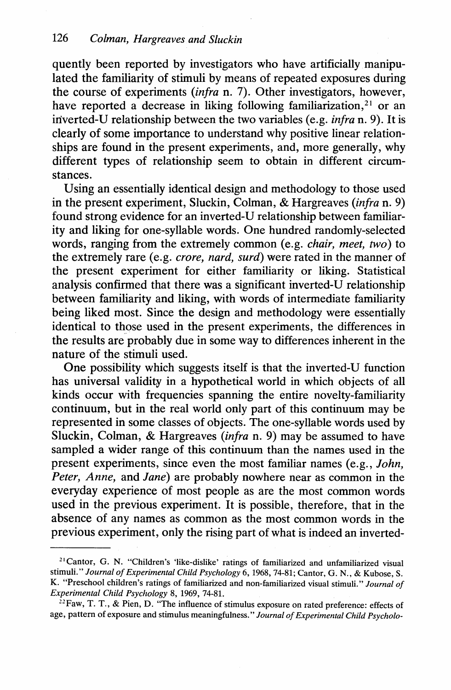quently been reported by investigators who have artificially. manipulated the familiarity of stimuli by means of repeated exposures during the course of experiments *(infra* n. 7). Other investigators, however, have reported a decrease in liking following familiarization,<sup>21</sup> or an inverted-U relationship between the two variables (e.g. *infra* n. 9). It is clearly of some importance to understand why positive linear relationships are found in the present experiments, and, more generally, why different types of relationship seem to obtain in different circumstances.

Vsing an essentially identical design and methodology to those used in the present experiment, Sluckin, Colman, & Hargreaves *(infra* n. 9) found strong evidence for an inverted- *V* relationship between familiarity and liking for one-syllable words. One hundred randomly-selected words, ranging from the extremely common (e.g. *chair, meet, two)* to the extremely rare (e.g. *crore, nard, surd)* were rated in the manner of the present experiment for either familiarity or liking. Statistical analysis confirmed that there was a significant inverted-V relationship between familiarity and liking, with words of intermediate familiarity being liked most. Since the design and methodology were essentially identical to those used in the present experiments, the differences in the results are probably due in some way to differences inherent in the nature of the stimuli used.

One possibility which suggests itself is that the inverted-V function has universal validity in a hypothetical world in which objects of all kinds occur with frequencies spanning the entire novelty-familiarity continuum, but in the real world only part of this continuum may. be represented in some classes of objects. The one-syllable words used by Sluckin, Colman, & Hargreaves *(infra* n. 9) may be assumed to have sampled a wider range of this continuum than the names used in the present experiments, since even the most familiar names (e.g., *John, Peter, Anne,* and *Jane)* are probably nowhere near as common in the everyday experience of most people as are the most common words used in the previous experiment. It is possible, therefore, that in the absence of any names as common as the most common words in the previous experiment, only the rising part of what is indeed an inverted-

<sup>&</sup>lt;sup>21</sup> Cantor, G. N. "Children's 'like-dislike' ratings of familiarized and unfamiliarized visual stimuli." Journal of Experimental Child Psychology 6, 1968, 74-81; Cantor, G. N., & Kubose, S. K. "Preschool children's ratings of familiarized and non-familiarized visual stimuli." *Journal of Experimental Child Psychology* 8, 1969, 74-81.

<sup>22</sup>Faw, T. T., & Pien, D. "The influence of stimulus exposure on rated preference: effects of age, pattern of exposure and stimulus meaningfulness." *Journal of Experimental Child Psycholo-*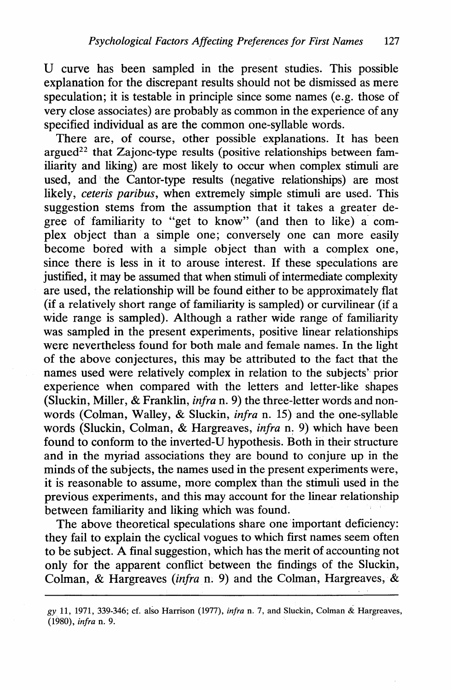U curve has been sampled in the present studies. This possible explanation for the discrepant results should not be dismissed as mere speculation; it is testable in principle since some names (e.g. those of very close associates) are probably as common in the experience of any specified individual as are the common one-syllable words.

There are, of course, other possible explanations. It has been argued<sup>22</sup> that Zajonc-type results (positive relationships between familiarity and liking) are most likely to occur when complex stimuli are used, and the Cantor-type results (negative relationships) are most likely, *ceteris paribus,* when extremely simple stimuli are used. This suggestion stems from the assumption that it takes a greater degree of familiarity to "get to know" (and then to like) a complex object than a simple one; conversely one can more easily become bored with a simple object than with a complex one, since there is less in it to arouse interest. If these speculations are justified, it may be assumed that when stimuli of intermediate complexity are used, the relationship will be found either to be approximately flat (if a relatively short range of familiarity is sampled) or curvilinear (if a wide range is sampled). Although a rather wide range of familiarity was sampled in the present experiments, positive linear relationships were nevertheless found for both male and female names. In the light of the above conjectures, this may be attributed to the fact that the names used were relatively complex in relation to the subjects' prior experience when compared with the letters and letter-like shapes (Sluckin, Miller, & Franklin, *infra* n. 9) the three-letter words and nonwords (Colman, Walley, & Sluckin, *infra* n. 15) and the one-syllable words (Sluckin, Colman, & Hargreaves, *infra* n. 9) which have been found to conform to the inverted-U hypothesis. Both in their structure and in the myriad associations they are bound to conjure up in the minds of the subjects, the names used in the present experiments were, it is reasonable to assume, more complex than the stimuli used in the previous experiments, and this may account for the linear relationship between familiarity and liking which was found.

The above theoretical speculations share one 'important deficiency: they fail to explain the cyclical vogues to which first names seem often to be subject. A final suggestion, which has the merit of accounting not only for the apparent conflict between the findings of the Sluckin, Colman, & Hargreaves (infra n. 9) and the Colman, Hargreaves, &

*gy* 11, 1971, 339-346; cf. also Harrison (1977), *infra* n.7, and Sluckin, Colman & Hargreaves, (1980), *infra* n. 9.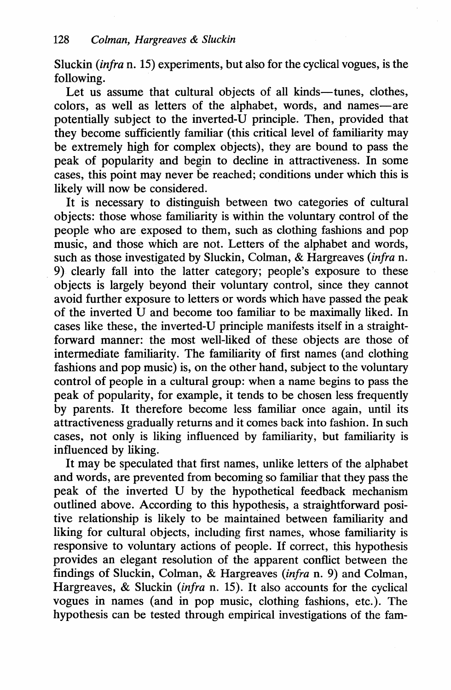Sluckin *(infra* n. 15) experiments, but also for the cyclical vogues, is the following.

Let us assume that cultural objects of all kinds- tunes, clothes, colors, as well as letters of the alphabet, words, and names-are potentially subject to the inverted-U principle. Then, provided that they become sufficiently familiar (this critical level of familiarity may be extremely high for complex objects), they are bound to pass the peak of popularity and begin to decline in attractiveness. In some cases, this point may never be reached; conditions under which this is likely will now be considered.

It is necessary to distinguish between two categories of cultural objects: those whose familiarity is within the voluntary control of the people who are exposed to them, such as clothing fashions and pop music, and those which are not. Letters of the alphabet and words, such as those investigated by Sluckin, Colman, & Hargreaves *(infra* n. 9) clearly fall into the latter category; people's exposure to these objects is largely beyond their voluntary control, since they cannot avoid further exposure to letters or words which have passed the peak of the inverted  $\dot{U}$  and become too familiar to be maximally liked. In cases like these, the inverted-U principle manifests itself in a straightforward manner: the most well-liked of these objects are those of intermediate familiarity. The familiarity of first names (and clothing fashions and pop music) is, on the other hand, subject to the voluntary control of people in a cultural group: when a name begins to pass the peak of popularity, for example, it tends to be chosen less frequently by parents. It therefore become less familiar once again, until its attractiveness gradually returns and it comes back into fashion. In such cases, not only is liking influenced by familiarity, but familiarity is influenced by liking.

It may be speculated that first names, unlike letters of the alphabet and words, are prevented from becoming so familiar that they pass the peak of the inverted U by the hypothetical feedback mechanism outlined above. According to this hypothesis, a straightforward positive relationship is likely to be maintained between familiarity and liking for cultural objects, including first names, whose familiarity is responsive to voluntary actions of people. If correct, this hypothesis provides an elegant resolution of the apparent conflict between the findings of Sluckin, Colman, & Hargreaves *(infra* n. 9) and Colman, Hargreaves, & Sluckin *(infra* n. 15). It also accounts for the cyclical vogues in names (and in pop music, clothing fashions, etc.). The hypothesis can be tested through empirical investigations of the fam